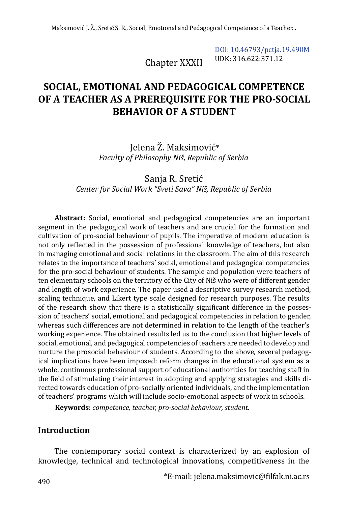Chapter XXXII

[DOI: 10.46793/pctja.19.490M](https://doi.org/10.46793/pctja.19.490M) UDK: 316.622:371.12

# **SOCIAL, EMOTIONAL AND PEDAGOGICAL COMPETENCE OF A TEACHER AS A PREREQUISITE FOR THE PRO-SOCIAL BEHAVIOR OF A STUDENT**

Jelena Ž. Maksimović\* *Faculty of Philosophy Niš, Republic of Serbia*

Sanja R. Sretić *Center for Social Work "Sveti Sava" Niš, Republic of Serbia*

**Abstract:** Social, emotional and pedagogical competencies are an important segment in the pedagogical work of teachers and are crucial for the formation and cultivation of pro-social behaviour of pupils. The imperative of modern education is not only reflected in the possession of professional knowledge of teachers, but also in managing emotional and social relations in the classroom. The aim of this research relates to the importance of teachers' social, emotional and pedagogical competencies for the pro-social behaviour of students. The sample and population were teachers of ten elementary schools on the territory of the City of Niš who were of different gender and length of work experience. The paper used a descriptive survey research method, scaling technique, and Likert type scale designed for research purposes. The results of the research show that there is a statistically significant difference in the possession of teachers' social, emotional and pedagogical competencies in relation to gender, whereas such differences are not determined in relation to the length of the teacher's working experience. The obtained results led us to the conclusion that higher levels of social, emotional, and pedagogical competencies of teachers are needed to develop and nurture the prosocial behaviour of students. According to the above, several pedagogical implications have been imposed: reform changes in the educational system as a whole, continuous professional support of educational authorities for teaching staff in the field of stimulating their interest in adopting and applying strategies and skills directed towards education of pro-socially oriented individuals, and the implementation of teachers' programs which will include socio-emotional aspects of work in schools.

**Keywords**: *competence, teacher, pro-social behaviour, student.*

## **Introduction**

The contemporary social context is characterized by an explosion of knowledge, technical and technological innovations, competitiveness in the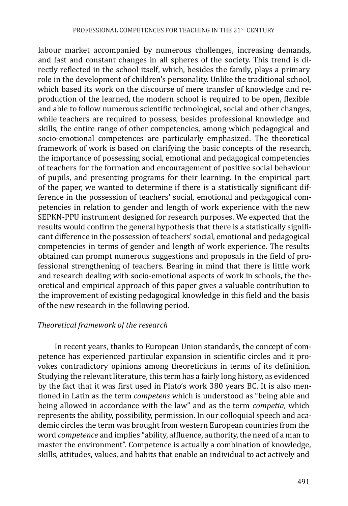labour market accompanied by numerous challenges, increasing demands, and fast and constant changes in all spheres of the society. This trend is directly reflected in the school itself, which, besides the family, plays a primary role in the development of children's personality. Unlike the traditional school, which based its work on the discourse of mere transfer of knowledge and reproduction of the learned, the modern school is required to be open, flexible and able to follow numerous scientific technological, social and other changes, while teachers are required to possess, besides professional knowledge and skills, the entire range of other competencies, among which pedagogical and socio-emotional competences are particularly emphasized. The theoretical framework of work is based on clarifying the basic concepts of the research, the importance of possessing social, emotional and pedagogical competencies of teachers for the formation and encouragement of positive social behaviour of pupils, and presenting programs for their learning. In the empirical part of the paper, we wanted to determine if there is a statistically significant difference in the possession of teachers' social, emotional and pedagogical competencies in relation to gender and length of work experience with the new SEPKN-PPU instrument designed for research purposes. We expected that the results would confirm the general hypothesis that there is a statistically significant difference in the possession of teachers' social, emotional and pedagogical competencies in terms of gender and length of work experience. The results obtained can prompt numerous suggestions and proposals in the field of professional strengthening of teachers. Bearing in mind that there is little work and research dealing with socio-emotional aspects of work in schools, the theoretical and empirical approach of this paper gives a valuable contribution to the improvement of existing pedagogical knowledge in this field and the basis of the new research in the following period.

## *Theoretical framework of the research*

In recent years, thanks to European Union standards, the concept of competence has experienced particular expansion in scientific circles and it provokes contradictory opinions among theoreticians in terms of its definition. Studying the relevant literature, this term has a fairly long history, as evidenced by the fact that it was first used in Plato's work 380 years BC. It is also mentioned in Latin as the term *competens* which is understood as "being able and being allowed in accordance with the law" and as the term *competia*, which represents the ability, possibility, permission. In our colloquial speech and academic circles the term was brought from western European countries from the word *competence* and implies "ability, affluence, authority, the need of a man to master the environment". Competence is actually a combination of knowledge, skills, attitudes, values, and habits that enable an individual to act actively and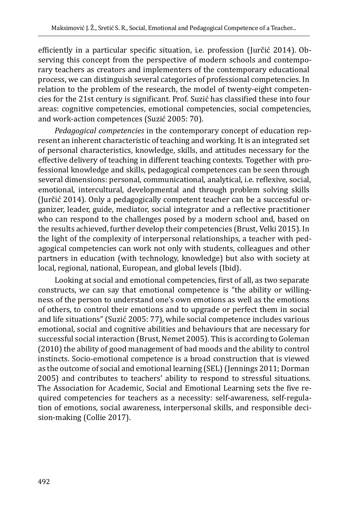efficiently in a particular specific situation, i.e. profession (Jurčić 2014). Observing this concept from the perspective of modern schools and contemporary teachers as creators and implementers of the contemporary educational process, we can distinguish several categories of professional competencies. In relation to the problem of the research, the model of twenty-eight competencies for the 21st century is significant. Prof. Suzić has classified these into four areas: cognitive competencies, emotional competencies, social competencies, and work-action competences (Suzić 2005: 70).

*Pedagogical competencies* in the contemporary concept of education represent an inherent characteristic of teaching and working. It is an integrated set of personal characteristics, knowledge, skills, and attitudes necessary for the effective delivery of teaching in different teaching contexts. Together with professional knowledge and skills, pedagogical competences can be seen through several dimensions: personal, communicational, analytical, i.e. reflexive, social, emotional, intercultural, developmental and through problem solving skills (Jurčić 2014). Only a pedagogically competent teacher can be a successful organizer, leader, guide, mediator, social integrator and a reflective practitioner who can respond to the challenges posed by a modern school and, based on the results achieved, further develop their competencies (Brust, Velki 2015). In the light of the complexity of interpersonal relationships, a teacher with pedagogical competencies can work not only with students, colleagues and other partners in education (with technology, knowledge) but also with society at local, regional, national, European, and global levels (Ibid).

Looking at social and emotional competencies, first of all, as two separate constructs, we can say that emotional competence is "the ability or willingness of the person to understand one's own emotions as well as the emotions of others, to control their emotions and to upgrade or perfect them in social and life situations" (Suzić 2005: 77), while social competence includes various emotional, social and cognitive abilities and behaviours that are necessary for successful social interaction (Brust, Nemet 2005). This is according to Goleman (2010) the ability of good management of bad moods and the ability to control instincts. Socio-emotional competence is a broad construction that is viewed as the outcome of social and emotional learning (SEL) (Jennings 2011; Dorman 2005) and contributes to teachers' ability to respond to stressful situations. The Association for Academic, Social and Emotional Learning sets the five required competencies for teachers as a necessity: self-awareness, self-regulation of emotions, social awareness, interpersonal skills, and responsible decision-making (Collie 2017).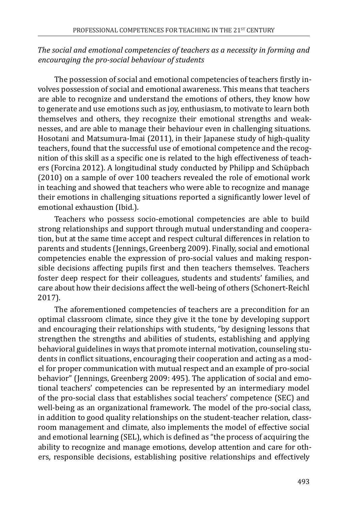#### *The social and emotional competencies of teachers as a necessity in forming and encouraging the pro-social behaviour of students*

The possession of social and emotional competencies of teachers firstly involves possession of social and emotional awareness. This means that teachers are able to recognize and understand the emotions of others, they know how to generate and use emotions such as joy, enthusiasm, to motivate to learn both themselves and others, they recognize their emotional strengths and weaknesses, and are able to manage their behaviour even in challenging situations. Hosotani and Matsumura-Imai (2011), in their Japanese study of high-quality teachers, found that the successful use of emotional competence and the recognition of this skill as a specific one is related to the high effectiveness of teachers (Forcina 2012). A longitudinal study conducted by Philipp and Schüpbach (2010) on a sample of over 100 teachers revealed the role of emotional work in teaching and showed that teachers who were able to recognize and manage their emotions in challenging situations reported a significantly lower level of emotional exhaustion (Ibid.).

Teachers who possess socio-emotional competencies are able to build strong relationships and support through mutual understanding and cooperation, but at the same time accept and respect cultural differences in relation to parents and students (Jennings, Greenberg 2009). Finally, social and emotional competencies enable the expression of pro-social values and making responsible decisions affecting pupils first and then teachers themselves. Teachers foster deep respect for their colleagues, students and students' families, and care about how their decisions affect the well-being of others (Schonert-Reichl 2017).

The aforementioned competencies of teachers are a precondition for an optimal classroom climate, since they give it the tone by developing support and encouraging their relationships with students, "by designing lessons that strengthen the strengths and abilities of students, establishing and applying behavioral guidelines in ways that promote internal motivation, counseling students in conflict situations, encouraging their cooperation and acting as a model for proper communication with mutual respect and an example of pro-social behavior" (Jennings, Greenberg 2009: 495). The application of social and emotional teachers' competencies can be represented by an intermediary model of the pro-social class that establishes social teachers' competence (SEC) and well-being as an organizational framework. The model of the pro-social class, in addition to good quality relationships on the student-teacher relation, classroom management and climate, also implements the model of effective social and emotional learning (SEL), which is defined as "the process of acquiring the ability to recognize and manage emotions, develop attention and care for others, responsible decisions, establishing positive relationships and effectively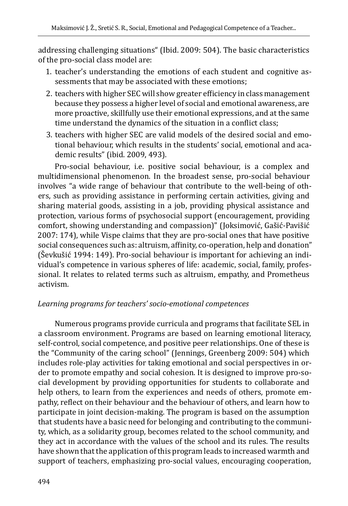addressing challenging situations" (Ibid. 2009: 504). The basic characteristics of the pro-social class model are:

- 1. teacher's understanding the emotions of each student and cognitive assessments that may be associated with these emotions;
- 2. teachers with higher SEC will show greater efficiency in class management because they possess a higher level of social and emotional awareness, are more proactive, skillfully use their emotional expressions, and at the same time understand the dynamics of the situation in a conflict class;
- 3. teachers with higher SEC are valid models of the desired social and emotional behaviour, which results in the students' social, emotional and academic results" (ibid. 2009, 493).

Pro-social behaviour, i.e. positive social behaviour, is a complex and multidimensional phenomenon. In the broadest sense, pro-social behaviour involves "a wide range of behaviour that contribute to the well-being of others, such as providing assistance in performing certain activities, giving and sharing material goods, assisting in a job, providing physical assistance and protection, various forms of psychosocial support (encouragement, providing comfort, showing understanding and compassion)" (Joksimović, Gašić-Pavišić 2007: 174), while Vispe claims that they are pro-social ones that have positive social consequences such as: altruism, affinity, co-operation, help and donation" (Ševkušić 1994: 149). Pro-social behaviour is important for achieving an individual's competence in various spheres of life: academic, social, family, professional. It relates to related terms such as altruism, empathy, and Prometheus activism.

#### *Learning programs for teachers' socio-emotional competences*

Numerous programs provide curricula and programs that facilitate SEL in a classroom environment. Programs are based on learning emotional literacy, self-control, social competence, and positive peer relationships. One of these is the "Community of the caring school" (Jennings, Greenberg 2009: 504) which includes role-play activities for taking emotional and social perspectives in order to promote empathy and social cohesion. It is designed to improve pro-social development by providing opportunities for students to collaborate and help others, to learn from the experiences and needs of others, promote empathy, reflect on their behaviour and the behaviour of others, and learn how to participate in joint decision-making. The program is based on the assumption that students have a basic need for belonging and contributing to the community, which, as a solidarity group, becomes related to the school community, and they act in accordance with the values of the school and its rules. The results have shown that the application of this program leads to increased warmth and support of teachers, emphasizing pro-social values, encouraging cooperation,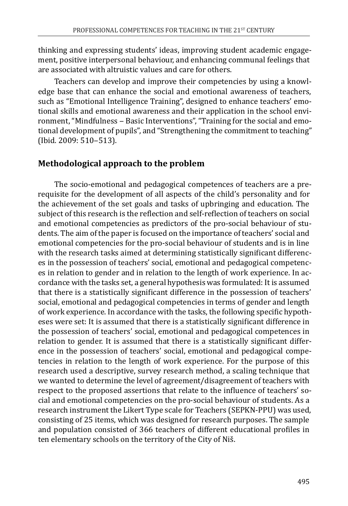thinking and expressing students' ideas, improving student academic engagement, positive interpersonal behaviour, and enhancing communal feelings that are associated with altruistic values and care for others.

Teachers can develop and improve their competencies by using a knowledge base that can enhance the social and emotional awareness of teachers, such as "Emotional Intelligence Training", designed to enhance teachers' emotional skills and emotional awareness and their application in the school environment, "Mindfulness - Basic Interventions", "Training for the social and emotional development of pupils", and "Strengthening the commitment to teaching" (Ibid. 2009: 510-513).

## **Methodological approach to the problem**

The socio-emotional and pedagogical competences of teachers are a prerequisite for the development of all aspects of the child's personality and for the achievement of the set goals and tasks of upbringing and education. The subject of this research is the reflection and self-reflection of teachers on social and emotional competencies as predictors of the pro-social behaviour of students. The aim of the paper is focused on the importance of teachers' social and emotional competencies for the pro-social behaviour of students and is in line with the research tasks aimed at determining statistically significant differences in the possession of teachers' social, emotional and pedagogical competences in relation to gender and in relation to the length of work experience. In accordance with the tasks set, a general hypothesis was formulated: It is assumed that there is a statistically significant difference in the possession of teachers' social, emotional and pedagogical competencies in terms of gender and length of work experience. In accordance with the tasks, the following specific hypotheses were set: It is assumed that there is a statistically significant difference in the possession of teachers' social, emotional and pedagogical competences in relation to gender. It is assumed that there is a statistically significant difference in the possession of teachers' social, emotional and pedagogical competencies in relation to the length of work experience. For the purpose of this research used a descriptive, survey research method, a scaling technique that we wanted to determine the level of agreement/disagreement of teachers with respect to the proposed assertions that relate to the influence of teachers' social and emotional competencies on the pro-social behaviour of students. As a research instrument the Likert Type scale for Teachers (SEPKN-PPU) was used, consisting of 25 items, which was designed for research purposes. The sample and population consisted of 366 teachers of different educational profiles in ten elementary schools on the territory of the City of Niš.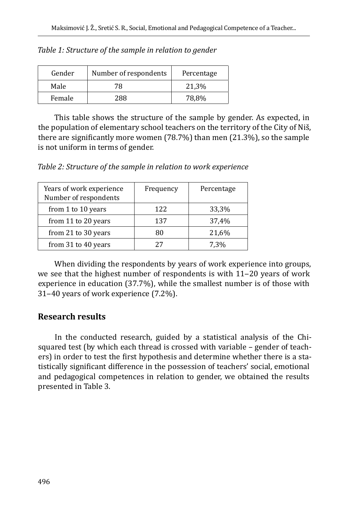| Gender | Number of respondents | Percentage |
|--------|-----------------------|------------|
| Male   | 78                    | 21,3%      |
| Female | 288                   | 78,8%      |

*Table 1: Structure of the sample in relation to gender*

This table shows the structure of the sample by gender. As expected, in the population of elementary school teachers on the territory of the City of Niš, there are significantly more women (78.7%) than men (21.3%), so the sample is not uniform in terms of gender.

*Table 2: Structure of the sample in relation to work experience*

| Years of work experience<br>Number of respondents | Frequency | Percentage |
|---------------------------------------------------|-----------|------------|
| from 1 to 10 years                                | 122       | 33,3%      |
| from 11 to 20 years                               | 137       | 37,4%      |
| from 21 to 30 years                               | 80        | 21,6%      |
| from 31 to 40 years                               | 27        | 7.3%       |

When dividing the respondents by years of work experience into groups, we see that the highest number of respondents is with 11–20 years of work experience in education (37.7%), while the smallest number is of those with 31‒40 years of work experience (7.2%).

# **Research results**

In the conducted research, guided by a statistical analysis of the Chisquared test (by which each thread is crossed with variable – gender of teachers) in order to test the first hypothesis and determine whether there is a statistically significant difference in the possession of teachers' social, emotional and pedagogical competences in relation to gender, we obtained the results presented in Table 3.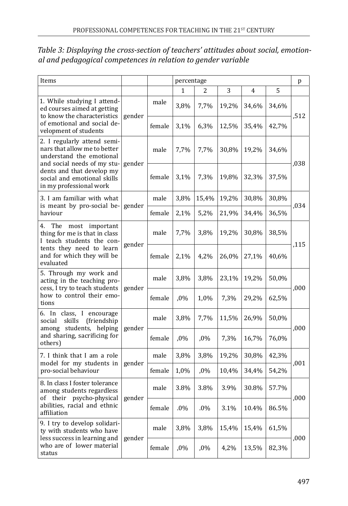| Items                                                                                                                  |        |        | percentage |        |       |       |       | p    |
|------------------------------------------------------------------------------------------------------------------------|--------|--------|------------|--------|-------|-------|-------|------|
|                                                                                                                        |        |        | 1          | 2.     | 3     | 4     | 5     |      |
| 1. While studying I attend-<br>ed courses aimed at getting<br>to know the characteristics                              | gender | male   | 3,8%       | 7,7%   | 19,2% | 34,6% | 34,6% | .512 |
| of emotional and social de-<br>velopment of students                                                                   |        | female | 3,1%       | 6,3%   | 12,5% | 35,4% | 42,7% |      |
| 2. I regularly attend semi-<br>nars that allow me to better<br>understand the emotional<br>and social needs of my stu- | gender | male   | 7,7%       | 7,7%   | 30,8% | 19,2% | 34,6% | ,038 |
| dents and that develop my<br>social and emotional skills<br>in my professional work                                    |        | female | 3,1%       | 7,3%   | 19,8% | 32,3% | 37,5% |      |
| 3. I am familiar with what<br>is meant by pro-social be-                                                               | gender | male   | 3,8%       | 15,4%  | 19,2% | 30,8% | 30,8% | .034 |
| haviour                                                                                                                |        | female | 2,1%       | 5,2%   | 21,9% | 34,4% | 36,5% |      |
| The most important<br>4.<br>thing for me is that in class<br>I teach students the con-                                 | gender | male   | 7,7%       | 3,8%   | 19,2% | 30,8% | 38,5% | .115 |
| tents they need to learn<br>and for which they will be<br>evaluated                                                    |        | female | 2,1%       | 4,2%   | 26,0% | 27,1% | 40,6% |      |
| 5. Through my work and<br>acting in the teaching pro-<br>cess, I try to teach students                                 | gender | male   | 3,8%       | 3,8%   | 23,1% | 19,2% | 50,0% | ,000 |
| how to control their emo-<br>tions                                                                                     |        | female | ,0%        | 1,0%   | 7,3%  | 29,2% | 62,5% |      |
| 6. In class, I encourage<br>skills<br>(friendship)<br>social<br>among students, helping                                | gender | male   | 3,8%       | 7,7%   | 11,5% | 26,9% | 50,0% | ,000 |
| and sharing, sacrificing for<br>others)                                                                                |        | female | ,0%        | ,0%    | 7,3%  | 16,7% | 76,0% |      |
| 7. I think that I am a role                                                                                            |        | male   | 3,8%       | 3,8%   | 19,2% | 30,8% | 42,3% | ,001 |
| model for my students in<br>pro-social behaviour                                                                       | gender | female | 1,0%       | $,0\%$ | 10,4% | 34,4% | 54,2% |      |
| 8. In class I foster tolerance<br>among students regardless<br>of their psycho-physical                                | gender | male   | 3.8%       | 3.8%   | 3.9%  | 30.8% | 57.7% | ,000 |
| abilities, racial and ethnic<br>affiliation                                                                            |        | female | $.0\%$     | $.0\%$ | 3.1%  | 10.4% | 86.5% |      |
| 9. I try to develop solidari-<br>ty with students who have<br>less success in learning and                             |        | male   | 3,8%       | 3,8%   | 15,4% | 15,4% | 61,5% | ,000 |
| who are of lower material<br>status                                                                                    | gender | female | $,0\%$     | $,0\%$ | 4,2%  | 13,5% | 82,3% |      |

*Table 3: Displaying the cross-section of teachers' attitudes about social, emotional and pedagogical competences in relation to gender variable*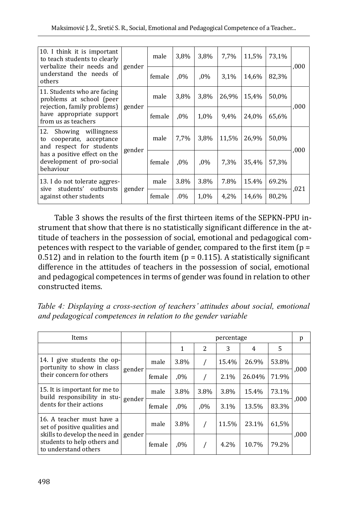| 10. I think it is important<br>to teach students to clearly<br>verbalize their needs and                                                                     | gender | male   | 3,8%   | 3,8%   | 7,7%  | 11,5% | 73,1% | ,000 |
|--------------------------------------------------------------------------------------------------------------------------------------------------------------|--------|--------|--------|--------|-------|-------|-------|------|
| understand the needs of<br>others                                                                                                                            |        | female | $.0\%$ | $.0\%$ | 3.1%  | 14,6% | 82,3% |      |
| 11. Students who are facing<br>problems at school (peer<br>rejection, family problems)                                                                       | gender | male   | 3,8%   | 3,8%   | 26,9% | 15,4% | 50,0% | ,000 |
| have appropriate support<br>from us as teachers                                                                                                              |        | female | $.0\%$ | 1,0%   | 9,4%  | 24,0% | 65,6% |      |
| 12. Showing willingness<br>cooperate, acceptance<br>to<br>and respect for students<br>has a positive effect on the<br>development of pro-social<br>behaviour |        | male   | 7,7%   | 3,8%   | 11,5% | 26,9% | 50,0% |      |
|                                                                                                                                                              | gender | female | $.0\%$ | $.0\%$ | 7,3%  | 35,4% | 57,3% | ,000 |
| 13. I do not tolerate aggres-<br>sive students' outbursts<br>against other students                                                                          |        | male   | 3.8%   | 3.8%   | 7.8%  | 15.4% | 69.2% |      |
|                                                                                                                                                              | gender | female | $.0\%$ | 1,0%   | 4,2%  | 14,6% | 80,2% | .021 |

Table 3 shows the results of the first thirteen items of the SEPKN-PPU instrument that show that there is no statistically significant difference in the attitude of teachers in the possession of social, emotional and pedagogical competences with respect to the variable of gender, compared to the first item  $(p =$ 0.512) and in relation to the fourth item ( $p = 0.115$ ). A statistically significant difference in the attitudes of teachers in the possession of social, emotional and pedagogical competences in terms of gender was found in relation to other constructed items.

*Table 4: Displaying a cross-section of teachers' attitudes about social, emotional and pedagogical competences in relation to the gender variable*

| Items                                                                                                                                              |        |        |        | percentage    |       |        |       |     |
|----------------------------------------------------------------------------------------------------------------------------------------------------|--------|--------|--------|---------------|-------|--------|-------|-----|
|                                                                                                                                                    |        |        | 1      | $\mathcal{L}$ | 3     | 4      | 5     |     |
| 14. I give students the op-<br>portunity to show in class<br>their concern for others                                                              | gender | male   | 3.8%   |               | 15.4% | 26.9%  | 53.8% | 000 |
|                                                                                                                                                    |        | female | $.0\%$ |               | 2.1%  | 26.04% | 71.9% |     |
| 15. It is important for me to<br>build responsibility in stu-                                                                                      | gender | male   | 3.8%   | 3.8%          | 3.8%  | 15.4%  | 73.1% | 000 |
| dents for their actions                                                                                                                            |        | female | $.0\%$ | $.0\%$        | 3.1%  | 13.5%  | 83.3% |     |
| 16. A teacher must have a<br>set of positive qualities and<br>skills to develop the need in<br>students to help others and<br>to understand others |        | male   | 3.8%   |               | 11.5% | 23.1%  | 61,5% |     |
|                                                                                                                                                    | gender | female | $.0\%$ |               | 4.2%  | 10.7%  | 79.2% | 000 |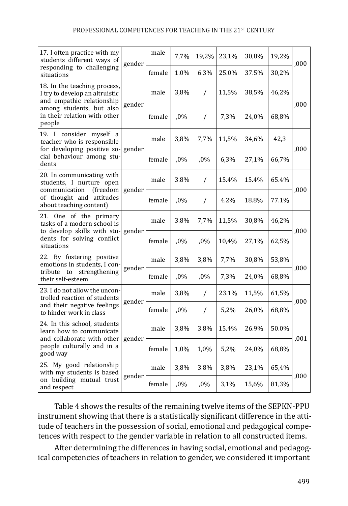| 17. I often practice with my<br>students different ways of                                       | gender | male   | 7,7%   | 19,2%          | 23,1% | 30,8% | 19,2% | ,000 |
|--------------------------------------------------------------------------------------------------|--------|--------|--------|----------------|-------|-------|-------|------|
| responding to challenging<br>situations                                                          |        | female | 1.0%   | 6.3%           | 25.0% | 37.5% | 30,2% |      |
| 18. In the teaching process,<br>I try to develop an altruistic<br>and empathic relationship      | gender | male   | 3,8%   | $\sqrt{2}$     | 11,5% | 38,5% | 46,2% | ,000 |
| among students, but also<br>in their relation with other<br>people                               |        | female | ,0%    | $\sqrt{2}$     | 7,3%  | 24,0% | 68,8% |      |
| 19. I consider myself a<br>teacher who is responsible<br>for developing positive so-             | gender | male   | 3,8%   | 7,7%           | 11,5% | 34,6% | 42,3  | ,000 |
| cial behaviour among stu-<br>dents                                                               |        | female | $,0\%$ | ,0%            | 6,3%  | 27,1% | 66,7% |      |
| 20. In communicating with<br>students, I nurture open<br>communication<br>(freedom               | gender | male   | 3.8%   | $\sqrt{2}$     | 15.4% | 15.4% | 65.4% | ,000 |
| of thought and attitudes<br>about teaching content)                                              |        | female | ,0%    | $\prime$       | 4.2%  | 18.8% | 77.1% |      |
| 21. One of the primary<br>tasks of a modern school is<br>to develop skills with stu-             | gender | male   | 3.8%   | 7,7%           | 11,5% | 30,8% | 46,2% | ,000 |
| dents for solving conflict<br>situations                                                         |        | female | ,0%    | ,0%            | 10,4% | 27,1% | 62,5% |      |
| 22. By fostering positive<br>emotions in students, I con-                                        |        | male   | 3,8%   | 3,8%           | 7,7%  | 30,8% | 53,8% | ,000 |
| to<br>tribute<br>strengthening<br>their self-esteem                                              | gender | female | ,0%    | $,0\%$         | 7,3%  | 24,0% | 68,8% |      |
| 23. I do not allow the uncon-<br>trolled reaction of students                                    | gender | male   | 3,8%   | $\prime$       | 23.1% | 11,5% | 61,5% | ,000 |
| and their negative feelings<br>to hinder work in class                                           |        | female | ,0%    | $\overline{1}$ | 5,2%  | 26,0% | 68,8% |      |
| 24. In this school, students<br>learn how to communicate                                         | gender | male   | 3,8%   | 3.8%           | 15.4% | 26.9% | 50.0% | ,001 |
| and collaborate with other<br>people culturally and in a<br>good way                             |        | female | 1,0%   | 1,0%           | 5,2%  | 24,0% | 68,8% |      |
| 25. My good relationship<br>with my students is based<br>on building mutual trust<br>and respect |        | male   | 3,8%   | 3.8%           | 3,8%  | 23,1% | 65,4% | ,000 |
|                                                                                                  | gender | female | ,0%    | ,0%            | 3,1%  | 15,6% | 81,3% |      |

Table 4 shows the results of the remaining twelve items of the SEPKN-PPU instrument showing that there is a statistically significant difference in the attitude of teachers in the possession of social, emotional and pedagogical competences with respect to the gender variable in relation to all constructed items.

After determining the differences in having social, emotional and pedagogical competencies of teachers in relation to gender, we considered it important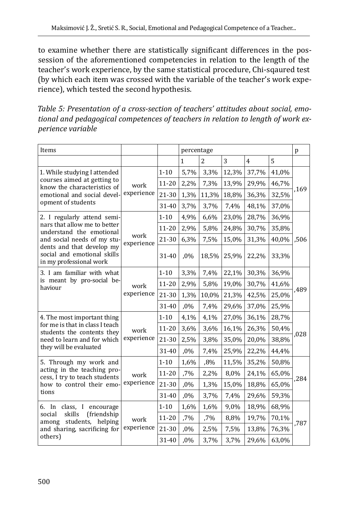to examine whether there are statistically significant differences in the possession of the aforementioned competencies in relation to the length of the teacher's work experience, by the same statistical procedure, Chi-sqaured test (by which each item was crossed with the variable of the teacher's work experience), which tested the second hypothesis.

*Table 5: Presentation of a cross-section of teachers' attitudes about social, emotional and pedagogical competences of teachers in relation to length of work experience variable*

| Items                                                                               |                    |           | percentage |                |       |                |       | p    |
|-------------------------------------------------------------------------------------|--------------------|-----------|------------|----------------|-------|----------------|-------|------|
|                                                                                     |                    |           | 1          | $\overline{c}$ | 3     | $\overline{4}$ | 5     |      |
| 1. While studying I attended                                                        |                    | $1 - 10$  | 5,7%       | 3,3%           | 12,3% | 37,7%          | 41,0% |      |
| courses aimed at getting to<br>know the characteristics of                          | work               | 11-20     | 2,2%       | 7,3%           | 13,9% | 29,9%          | 46,7% | ,169 |
| emotional and social devel-                                                         | experience         | 21-30     | 1,3%       | 11,3%          | 18,8% | 36,3%          | 32,5% |      |
| opment of students                                                                  |                    | 31-40     | 3,7%       | 3,7%           | 7,4%  | 48,1%          | 37,0% |      |
| 2. I regularly attend semi-                                                         |                    | $1 - 10$  | 4,9%       | 6,6%           | 23,0% | 28,7%          | 36,9% |      |
| nars that allow me to better<br>understand the emotional                            |                    | $11 - 20$ | 2,9%       | 5,8%           | 24,8% | 30,7%          | 35,8% |      |
| and social needs of my stu-                                                         | work<br>experience | 21-30     | 6,3%       | 7,5%           | 15,0% | 31,3%          | 40,0% | ,506 |
| dents and that develop my<br>social and emotional skills<br>in my professional work |                    | 31-40     | ,0%        | 18,5%          | 25,9% | 22,2%          | 33,3% |      |
| 3. I am familiar with what<br>is meant by pro-social be-<br>haviour                 | work<br>experience | $1 - 10$  | 3,3%       | 7,4%           | 22,1% | 30,3%          | 36,9% | ,489 |
|                                                                                     |                    | $11 - 20$ | 2,9%       | 5,8%           | 19,0% | 30,7%          | 41,6% |      |
|                                                                                     |                    | $21 - 30$ | 1,3%       | 10,0%          | 21,3% | 42,5%          | 25,0% |      |
|                                                                                     |                    | 31-40     | ,0%        | 7,4%           | 29,6% | 37,0%          | 25,9% |      |
| 4. The most important thing                                                         |                    | $1 - 10$  | 4,1%       | 4,1%           | 27,0% | 36,1%          | 28,7% |      |
| for me is that in class I teach<br>students the contents they                       | work               | 11-20     | 3,6%       | 3,6%           | 16,1% | 26,3%          | 50,4% |      |
| need to learn and for which                                                         | experience         | 21-30     | 2,5%       | 3,8%           | 35,0% | 20,0%          | 38,8% | ,028 |
| they will be evaluated                                                              |                    | 31-40     | ,0%        | 7,4%           | 25,9% | 22,2%          | 44,4% |      |
| 5. Through my work and                                                              |                    | $1 - 10$  | 1,6%       | ,8%            | 11,5% | 35,2%          | 50,8% |      |
| acting in the teaching pro-<br>cess, I try to teach students                        | work               | 11-20     | ,7%        | 2,2%           | 8,0%  | 24,1%          | 65,0% | ,284 |
| how to control their emo-                                                           | experience         | 21-30     | ,0%        | 1,3%           | 15,0% | 18,8%          | 65,0% |      |
| tions                                                                               |                    | 31-40     | ,0%        | 3,7%           | 7,4%  | 29,6%          | 59,3% |      |
| 6. In class, I encourage                                                            |                    | $1 - 10$  | 1,6%       | 1,6%           | 9,0%  | 18,9%          | 68,9% |      |
| skills<br>(friendship<br>social<br>among students, helping                          | work               | 11-20     | ,7%        | ,7%            | 8,8%  | 19,7%          | 70,1% | ,787 |
| and sharing, sacrificing for                                                        | experience         | 21-30     | ,0%        | 2,5%           | 7,5%  | 13,8%          | 76,3% |      |
| others)                                                                             |                    | 31-40     | ,0%        | 3,7%           | 3,7%  | 29,6%          | 63,0% |      |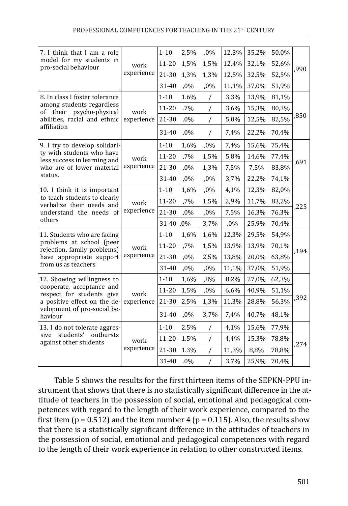| 7. I think that I am a role                                                                                         |                    | $1 - 10$  | 2,5%   | ,0%            | 12,3%  | 35,2% | 50,0% |      |
|---------------------------------------------------------------------------------------------------------------------|--------------------|-----------|--------|----------------|--------|-------|-------|------|
| model for my students in<br>pro-social behaviour                                                                    | work               | $11 - 20$ | 1,5%   | 1,5%           | 12,4%  | 32,1% | 52,6% | ,990 |
|                                                                                                                     | experience         | 21-30     | 1,3%   | 1,3%           | 12,5%  | 32,5% | 52,5% |      |
|                                                                                                                     |                    | 31-40     | ,0%    | ,0%            | 11,1%  | 37,0% | 51,9% |      |
| 8. In class I foster tolerance                                                                                      |                    | $1 - 10$  | 1.6%   | $\overline{1}$ | 3,3%   | 13,9% | 81,1% |      |
| among students regardless<br>psycho-physical<br>of their                                                            | work               | $11 - 20$ | .7%    | $\overline{1}$ | 3,6%   | 15,3% | 80,3% |      |
| abilities, racial and ethnic                                                                                        | experience         | 21-30     | $.0\%$ | $\overline{1}$ | 5,0%   | 12,5% | 82,5% | ,850 |
| affiliation                                                                                                         |                    | 31-40     | $.0\%$ | $\overline{1}$ | 7,4%   | 22,2% | 70,4% |      |
| 9. I try to develop solidari-                                                                                       |                    | $1 - 10$  | 1,6%   | ,0%            | 7,4%   | 15,6% | 75,4% |      |
| ty with students who have<br>less success in learning and<br>who are of lower material<br>status.                   | work<br>experience | $11 - 20$ | ,7%    | 1,5%           | 5,8%   | 14,6% | 77,4% |      |
|                                                                                                                     |                    | 21-30     | ,0%    | 1,3%           | 7,5%   | 7,5%  | 83,8% | ,691 |
|                                                                                                                     |                    | 31-40     | ,0%    | $,0\%$         | 3,7%   | 22,2% | 74,1% |      |
| 10. I think it is important<br>to teach students to clearly<br>verbalize their needs and<br>understand the needs of | work<br>experience | $1 - 10$  | 1,6%   | ,0%            | 4,1%   | 12,3% | 82,0% | ,225 |
|                                                                                                                     |                    | $11 - 20$ | ,7%    | 1,5%           | 2,9%   | 11,7% | 83,2% |      |
|                                                                                                                     |                    | 21-30     | ,0%    | $,0\%$         | 7,5%   | 16,3% | 76,3% |      |
| others                                                                                                              |                    | 31-40     | $,0\%$ | 3,7%           | $,0\%$ | 25,9% | 70,4% |      |
| 11. Students who are facing                                                                                         |                    | $1 - 10$  | 1,6%   | 1,6%           | 12,3%  | 29,5% | 54,9% |      |
| problems at school (peer<br>rejection, family problems)                                                             | work               | $11 - 20$ | ,7%    | 1,5%           | 13,9%  | 13,9% | 70,1% |      |
| have appropriate support                                                                                            | experience         | $21 - 30$ | ,0%    | 2,5%           | 13,8%  | 20,0% | 63,8% | ,194 |
| from us as teachers                                                                                                 |                    | 31-40     | ,0%    | ,0%            | 11,1%  | 37,0% | 51,9% |      |
| 12. Showing willingness to                                                                                          |                    | $1 - 10$  | 1,6%   | ,8%            | 8,2%   | 27,0% | 62,3% |      |
| cooperate, acceptance and<br>respect for students give                                                              | work               | 11-20     | 1,5%   | ,0%            | 6,6%   | 40,9% | 51,1% |      |
| a positive effect on the de-                                                                                        | experience         | 21-30     | 2,5%   | 1,3%           | 11,3%  | 28,8% | 56,3% | ,392 |
| velopment of pro-social be-<br>haviour                                                                              |                    | 31-40     | ,0%    | 3,7%           | 7,4%   | 40,7% | 48,1% |      |
| 13. I do not tolerate aggres-                                                                                       |                    | $1 - 10$  | 2.5%   | $\overline{1}$ | 4,1%   | 15,6% | 77,9% |      |
| students' outbursts<br>sive<br>against other students                                                               | work               | 11-20     | 1.5%   | $\overline{1}$ | 4,4%   | 15,3% | 78,8% | ,274 |
|                                                                                                                     | experience         | 21-30     | 1.3%   | $\overline{1}$ | 11,3%  | 8,8%  | 78,8% |      |
|                                                                                                                     |                    | 31-40     | .0%    | $\overline{1}$ | 3,7%   | 25,9% | 70,4% |      |

Table 5 shows the results for the first thirteen items of the SEPKN-PPU instrument that shows that there is no statistically significant difference in the attitude of teachers in the possession of social, emotional and pedagogical competences with regard to the length of their work experience, compared to the first item ( $p = 0.512$ ) and the item number 4 ( $p = 0.115$ ). Also, the results show that there is a statistically significant difference in the attitudes of teachers in the possession of social, emotional and pedagogical competences with regard to the length of their work experience in relation to other constructed items.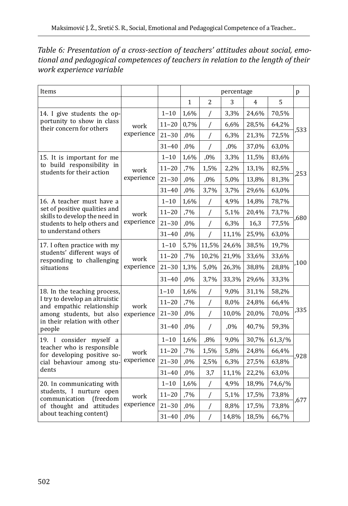| Table 6: Presentation of a cross-section of teachers' attitudes about social, emo- |  |
|------------------------------------------------------------------------------------|--|
| tional and pedagogical competences of teachers in relation to the length of their  |  |
| work experience variable                                                           |  |

| Items                                                                                    |                    |           | percentage   |          |       |       |        | p    |
|------------------------------------------------------------------------------------------|--------------------|-----------|--------------|----------|-------|-------|--------|------|
|                                                                                          |                    |           | $\mathbf{1}$ | 2        | 3     | 4     | 5      |      |
| 14. I give students the op-                                                              |                    | $1 - 10$  | 1,6%         | /        | 3,3%  | 24,6% | 70,5%  |      |
| portunity to show in class<br>their concern for others                                   | work               | $11 - 20$ | 0,7%         | /        | 6,6%  | 28,5% | 64,2%  |      |
|                                                                                          | experience         | $21 - 30$ | ,0%          | $\prime$ | 6,3%  | 21,3% | 72,5%  | ,533 |
|                                                                                          |                    | $31 - 40$ | ,0%          | /        | ,0%   | 37,0% | 63,0%  |      |
| 15. It is important for me                                                               |                    | $1 - 10$  | 1,6%         | ,0%      | 3,3%  | 11,5% | 83,6%  |      |
| to build responsibility in<br>students for their action                                  | work               | $11 - 20$ | ,7%          | 1,5%     | 2,2%  | 13,1% | 82,5%  |      |
|                                                                                          | experience         | $21 - 30$ | $.0\%$       | ,0%      | 5,0%  | 13,8% | 81,3%  | ,253 |
|                                                                                          |                    | $31 - 40$ | ,0%          | 3,7%     | 3,7%  | 29,6% | 63,0%  |      |
| 16. A teacher must have a                                                                |                    | $1 - 10$  | 1,6%         | /        | 4,9%  | 14,8% | 78,7%  |      |
| set of positive qualities and<br>skills to develop the need in                           | work<br>experience | $11 - 20$ | ,7%          | /        | 5,1%  | 20,4% | 73,7%  | .680 |
| students to help others and<br>to understand others                                      |                    | $21 - 30$ | ,0%          | /        | 6,3%  | 16,3  | 77,5%  |      |
|                                                                                          |                    | $31 - 40$ | ,0%          | /        | 11,1% | 25,9% | 63,0%  |      |
| 17. I often practice with my<br>students' different ways of<br>responding to challenging | work<br>experience | $1 - 10$  | 5,7%         | 11,5%    | 24,6% | 38,5% | 19,7%  | ,100 |
|                                                                                          |                    | $11 - 20$ | ,7%          | 10,2%    | 21,9% | 33,6% | 33,6%  |      |
| situations                                                                               |                    | $21 - 30$ | 1,3%         | 5,0%     | 26,3% | 38,8% | 28,8%  |      |
|                                                                                          |                    | $31 - 40$ | $.0\%$       | 3,7%     | 33,3% | 29,6% | 33,3%  |      |
| 18. In the teaching process,                                                             |                    | $1 - 10$  | 1,6%         | /        | 9,0%  | 31,1% | 58,2%  |      |
| I try to develop an altruistic<br>and empathic relationship                              | work               | $11 - 20$ | ,7%          | /        | 8,0%  | 24,8% | 66,4%  |      |
| among students, but also                                                                 | experience         | $21 - 30$ | ,0%          | $\prime$ | 10,0% | 20,0% | 70,0%  | ,335 |
| in their relation with other<br>people                                                   |                    | $31 - 40$ | ,0%          | $\prime$ | ,0%   | 40,7% | 59,3%  |      |
| 19. I consider myself a                                                                  |                    | $1 - 10$  | 1,6%         | ,8%      | 9,0%  | 30,7% | 61,3/% |      |
| teacher who is responsible<br>for developing positive so-                                | work               | $11 - 20$ | ,7%          | 1,5%     | 5,8%  | 24,8% | 66,4%  |      |
| cial behaviour among stu-                                                                | experience         | $21 - 30$ | ,0%          | 2,5%     | 6,3%  | 27,5% | 63,8%  | ,928 |
| dents                                                                                    |                    | $31 - 40$ | ,0%          | 3,7      | 11,1% | 22,2% | 63,0%  |      |
| 20. In communicating with                                                                |                    | $1 - 10$  | 1,6%         | $\prime$ | 4,9%  | 18,9% | 74,6/% |      |
| students, I nurture open<br>communication<br>(freedom                                    | work               | $11 - 20$ | ,7%          | /        | 5,1%  | 17,5% | 73,8%  |      |
| of thought and attitudes                                                                 | experience         | $21 - 30$ | ,0%          | /        | 8,8%  | 17,5% | 73,8%  | ,677 |
| about teaching content)                                                                  |                    | $31 - 40$ | ,0%          | 7        | 14,8% | 18,5% | 66,7%  |      |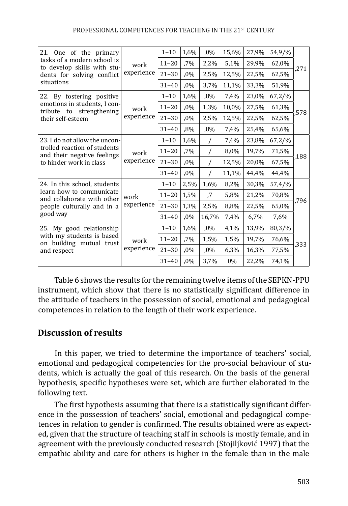| 21. One of the primary                                                                                                  |                    | $1 - 10$  | 1,6%   | $,0\%$   | 15,6% | 27,9% | 54,9/% |      |
|-------------------------------------------------------------------------------------------------------------------------|--------------------|-----------|--------|----------|-------|-------|--------|------|
| tasks of a modern school is<br>to develop skills with stu-                                                              | work               | $11 - 20$ | ,7%    | 2,2%     | 5,1%  | 29,9% | 62,0%  |      |
| dents for solving conflict                                                                                              | experience         | $21 - 30$ | $,0\%$ | 2,5%     | 12,5% | 22,5% | 62,5%  | ,271 |
| situations                                                                                                              |                    | $31 - 40$ | $,0\%$ | 3,7%     | 11,1% | 33,3% | 51,9%  |      |
| 22. By fostering positive                                                                                               | work<br>experience | $1 - 10$  | 1,6%   | $,8\%$   | 7,4%  | 23,0% | 67,2/% |      |
| emotions in students, I con-<br>tribute to strengthening                                                                |                    | $11 - 20$ | $,0\%$ | 1,3%     | 10,0% | 27,5% | 61,3%  |      |
| their self-esteem                                                                                                       |                    | $21 - 30$ | $,0\%$ | 2,5%     | 12,5% | 22,5% | 62,5%  | .578 |
|                                                                                                                         |                    | $31 - 40$ | $,8\%$ | ,8%      | 7,4%  | 25,4% | 65,6%  |      |
| 23. I do not allow the uncon-<br>trolled reaction of students<br>and their negative feelings<br>to hinder work in class | work<br>experience | $1 - 10$  | 1,6%   |          | 7,4%  | 23,8% | 67,2/% | ,188 |
|                                                                                                                         |                    | $11 - 20$ | ,7%    | $\prime$ | 8,0%  | 19,7% | 71,5%  |      |
|                                                                                                                         |                    | $21 - 30$ | $,0\%$ |          | 12,5% | 20,0% | 67,5%  |      |
|                                                                                                                         |                    | $31 - 40$ | ,0%    |          | 11,1% | 44,4% | 44,4%  |      |
| 24. In this school, students                                                                                            |                    | $1 - 10$  | 2,5%   | 1,6%     | 8,2%  | 30,3% | 57,4/% |      |
| learn how to communicate<br>and collaborate with other                                                                  | work               | $11 - 20$ | 1,5%   | .7       | 5,8%  | 21,2% | 70,8%  |      |
| people culturally and in a                                                                                              | experience         | $21 - 30$ | 1,3%   | 2,5%     | 8,8%  | 22,5% | 65,0%  | ,796 |
| good way                                                                                                                |                    | $31 - 40$ | $,0\%$ | 16,7%    | 7,4%  | 6,7%  | 7,6%   |      |
| 25. My good relationship                                                                                                |                    | $1 - 10$  | 1,6%   | $,0\%$   | 4,1%  | 13,9% | 80,3/% |      |
| with my students is based                                                                                               | work               | $11 - 20$ | ,7%    | 1,5%     | 1,5%  | 19,7% | 76,6%  |      |
| on building mutual trust<br>and respect                                                                                 | experience         | $21 - 30$ | ,0%    | ,0%      | 6,3%  | 16,3% | 77,5%  | ,333 |
|                                                                                                                         |                    | $31 - 40$ | $,0\%$ | 3,7%     | $0\%$ | 22,2% | 74,1%  |      |

Table 6 shows the results for the remaining twelve items of the SEPKN-PPU instrument, which show that there is no statistically significant difference in the attitude of teachers in the possession of social, emotional and pedagogical competences in relation to the length of their work experience.

## **Discussion of results**

In this paper, we tried to determine the importance of teachers' social, emotional and pedagogical competencies for the pro-social behaviour of students, which is actually the goal of this research. On the basis of the general hypothesis, specific hypotheses were set, which are further elaborated in the following text.

The first hypothesis assuming that there is a statistically significant difference in the possession of teachers' social, emotional and pedagogical competences in relation to gender is confirmed. The results obtained were as expected, given that the structure of teaching staff in schools is mostly female, and in agreement with the previously conducted research (Stojiljković 1997) that the empathic ability and care for others is higher in the female than in the male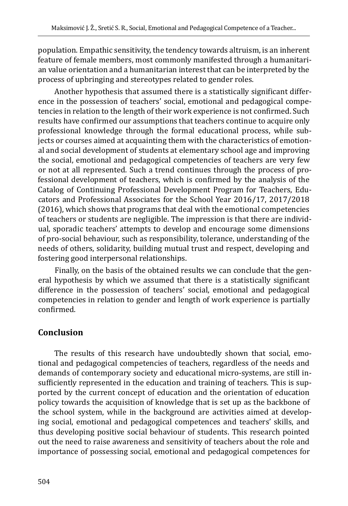population. Empathic sensitivity, the tendency towards altruism, is an inherent feature of female members, most commonly manifested through a humanitarian value orientation and a humanitarian interest that can be interpreted by the process of upbringing and stereotypes related to gender roles.

Another hypothesis that assumed there is a statistically significant difference in the possession of teachers' social, emotional and pedagogical competencies in relation to the length of their work experience is not confirmed. Such results have confirmed our assumptions that teachers continue to acquire only professional knowledge through the formal educational process, while subjects or courses aimed at acquainting them with the characteristics of emotional and social development of students at elementary school age and improving the social, emotional and pedagogical competencies of teachers are very few or not at all represented. Such a trend continues through the process of professional development of teachers, which is confirmed by the analysis of the Catalog of Continuing Professional Development Program for Teachers, Educators and Professional Associates for the School Year 2016/17, 2017/2018 (2016), which shows that programs that deal with the emotional competencies of teachers or students are negligible. The impression is that there are individual, sporadic teachers' attempts to develop and encourage some dimensions of pro-social behaviour, such as responsibility, tolerance, understanding of the needs of others, solidarity, building mutual trust and respect, developing and fostering good interpersonal relationships.

Finally, on the basis of the obtained results we can conclude that the general hypothesis by which we assumed that there is a statistically significant difference in the possession of teachers' social, emotional and pedagogical competencies in relation to gender and length of work experience is partially confirmed.

# **Conclusion**

The results of this research have undoubtedly shown that social, emotional and pedagogical competencies of teachers, regardless of the needs and demands of contemporary society and educational micro-systems, are still insufficiently represented in the education and training of teachers. This is supported by the current concept of education and the orientation of education policy towards the acquisition of knowledge that is set up as the backbone of the school system, while in the background are activities aimed at developing social, emotional and pedagogical competences and teachers' skills, and thus developing positive social behaviour of students. This research pointed out the need to raise awareness and sensitivity of teachers about the role and importance of possessing social, emotional and pedagogical competences for